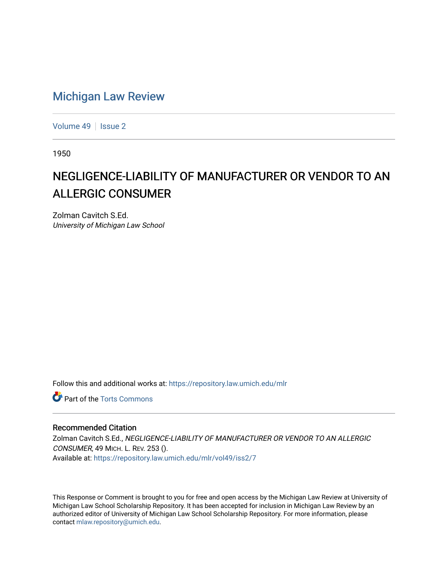## [Michigan Law Review](https://repository.law.umich.edu/mlr)

[Volume 49](https://repository.law.umich.edu/mlr/vol49) | [Issue 2](https://repository.law.umich.edu/mlr/vol49/iss2)

1950

# NEGLIGENCE-LIABILITY OF MANUFACTURER OR VENDOR TO AN ALLERGIC CONSUMER

Zolman Cavitch S.Ed. University of Michigan Law School

Follow this and additional works at: [https://repository.law.umich.edu/mlr](https://repository.law.umich.edu/mlr?utm_source=repository.law.umich.edu%2Fmlr%2Fvol49%2Fiss2%2F7&utm_medium=PDF&utm_campaign=PDFCoverPages) 

**C** Part of the [Torts Commons](http://network.bepress.com/hgg/discipline/913?utm_source=repository.law.umich.edu%2Fmlr%2Fvol49%2Fiss2%2F7&utm_medium=PDF&utm_campaign=PDFCoverPages)

## Recommended Citation

Zolman Cavitch S.Ed., NEGLIGENCE-LIABILITY OF MANUFACTURER OR VENDOR TO AN ALLERGIC CONSUMER, 49 MICH. L. REV. 253 (). Available at: [https://repository.law.umich.edu/mlr/vol49/iss2/7](https://repository.law.umich.edu/mlr/vol49/iss2/7?utm_source=repository.law.umich.edu%2Fmlr%2Fvol49%2Fiss2%2F7&utm_medium=PDF&utm_campaign=PDFCoverPages)

This Response or Comment is brought to you for free and open access by the Michigan Law Review at University of Michigan Law School Scholarship Repository. It has been accepted for inclusion in Michigan Law Review by an authorized editor of University of Michigan Law School Scholarship Repository. For more information, please contact [mlaw.repository@umich.edu](mailto:mlaw.repository@umich.edu).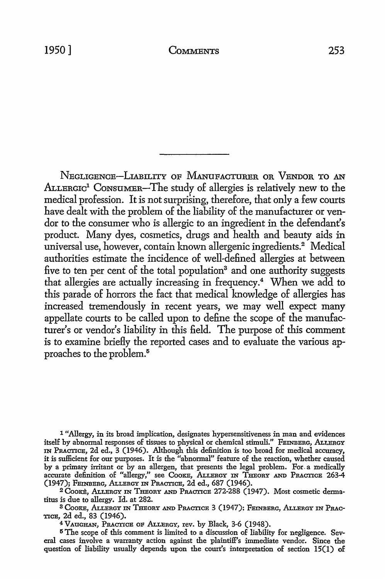NEGLIGENCE-LIABILITY OF MANliFACTURER OR VENDOR TO AN ALLERGIC<sup>1</sup> CONSUMER-The study of allergies is relatively new to the medical profession. It is not surprising, therefore, that only a few courts have dealt with the problem of the liability of the manufacturer or vendor to the consumer who is allergic to an ingredient in the defendant's product. Many dyes, cosmetics, drugs and health and beauty aids in universal use, however, contain known allergenic ingredients.<sup>2</sup> Medical authorities estimate the incidence of well-defined allergies at between five to ten per cent of the total population<sup>3</sup> and one authority suggests that allergies are actually increasing in frequency.4 When we add to this parade of horrors the fact that medical knowledge of allergies has increased tremendously in recent years, we may well expect many appellate courts to be called upon to define the scope of the manufacturer's or vendor's liability in this field. The purpose of this comment is to examine briefly the reported cases and to evaluate the various approaches to the problem.<sup>5</sup>

1 "Allergy, in its broad implication, designates hypersensitiveness in man and evidences itself by abnormal responses of tissues to physical or chemical stimuli." FEINBERG, ALLERGY IN PRACTICE, 2d ed., 3 (1946). Although this definition is too broad for medical accuracy, it is sufficient for our purposes. It is the "abnormal" feature of the reaction, whether caused by a primary irritant or by an allergen, that presents the legal problem. For. a medically accurate definition of "allergy," see Cooke, Allergy in Theory and Practice 263-4

(1947); FEINBERG, ALLERGY IN PRACTICE, 2d ed., 687 (1946).<br><sup>2</sup> Cooke, Allergy in Theory and Practice 272-288 (1947). Most cosmetic dermatitus is due to allergy. Id. at 282.

<sup>3</sup> COOKE, ALLERGY IN THEORY AND PRACTICE 3 (1947); FEINBERG, ALLERGY IN PRAC-TICE, 2d ed., 83 (1946).

<sup>4</sup>VAUGHAN, PRACTICE OF ALLERGY, rev. by Black, 3-6 (1948).

**5** The scope of this comment is limited to a discussion of liability for negligence. Several cases involve a warranty action against the plaintiff's immediate vendor. Since the question of liability usually depends upon the court's interpretation of section 15(1) of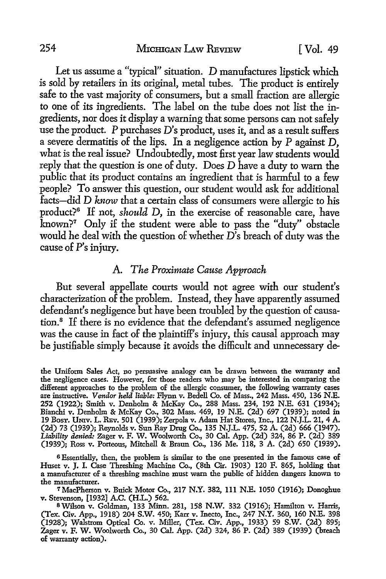Let us assume a "typical" situation. D manufactures lipstick which is sold by retailers in its original, metal tubes. The product is entirely safe to the vast majority of consumers, but a small fraction are allergic to one of its ingredients. The label on the tube does not list the ingredients, nor does it display a warning that some persons can not safely use the product. P purchases D's product, uses it, and as a result suffers a severe dermatitis of the lips. In a negligence action by P against D, what is the real issue? Undoubtedly, most first year law students would reply that the question is one of duty. Does D have a duty to warn the public that its product contains an ingredient that is harmful to a few people? To answer this question, our student would ask for additional facts-did D *know* that a certain class of consumers were allergic *to* his product?<sup>6</sup> If not, *should D*, in the exercise of reasonable care, have known?7 Only if the student were able to pass the "duty" obstacle would he deal with the question of whether D's breach of duty was the cause of P's injury.

## A. *The Proximate Cause Approach*

But several appellate courts would not agree with our student's characterization of the problem. Instead, they have apparently assumed defendant's negligence but have been troubled by the question of causation.<sup>8</sup> If there is no evidence that the defendant's assumed negligence was the cause in fact of the plaintiff's injury, this causal approach may be justifiable simply because it avoids the difficult and unnecessary de-

the Uniform Sales Act, no persuasive analogy can be drawn between the warranty and the negligence cases. However, for those readers who may be interested in comparing the different approaches to the problem of the allergic consumer, the following warranty cases are instructive. *Vendor held liable:* Flynn v. Bedell Co. of Mass., 242 Mass. 450, 136 N.E. 252 (1922); Smith v. Denholm & McKay Co., 288 Mass. 234, 192 N.E. 631 (1934); Bianchi v. Denholm & McKay Co., 302 Mass. 469, 19 N.E. (2d) 697 (1939); noted in 19 BosT. UNIV. L. REv. 501 (1939); Zerpola v. Adam Hat Stores, Inc., 122 N.J.L. 21, 4 A. (2d) 73 (1939); Reynolds v. Sun Ray Drug Co., 135 N.J.L. 475, 52 A. (2d) 666 (1947). *Liability denied:* Zager v. F. W. Woolworth Co., 30 Cal. App. (2d) 324, 86 P. (2d) 389 (1939); Ross v. Porteous, Mitchell & Braun Co., 136 Me. 118, 3 A. (2d) 650 (1939).

<sup>6</sup>Essentially, then, the problem is similar to the one presented in the famous case of Huset v. J. I. Case Threshing Machine Co., (8th Cir. 1903) 120 F. 865, holding that a manufacturer of a threshing machine must warn the public of hidden dangers known to the manufacturer.

<sup>7</sup> MacPherson v. Buick Motor Co., 217 N.Y. 382, 111 N.E. 1050 (1916);. Donoghue v. Stevenson, [1932] A.C. (H.L.) 562.<br><sup>8</sup> Wilson v. Goldman, 133 Minn. 281, 158 N.W. 332 (1916); Hamilton v. Harris,

<sup>(</sup>Tex. Civ. App., 1918) 204 S.W. 450; Karr v. Inecto, Inc., 247 N.Y. 360, 160 N.E. 398 (1928); Walstrom Optical Co. v. Miller, (Tex. Civ. App., 1933) 59 S.W. (2d) 895; Zager v. F. W. Woolworth Co., 30 Cal. App. (2d) 324, 86 P. (2d) 389 (1939) (breach of warranty action).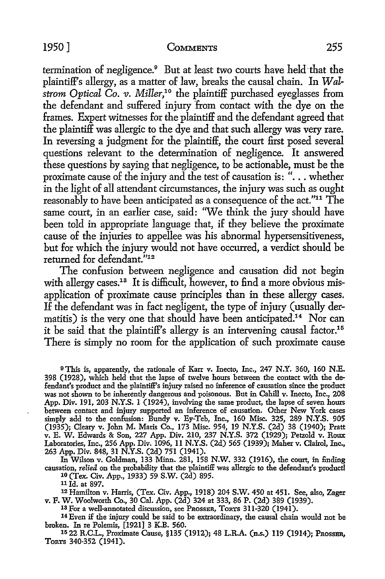## 1950] COMMENTS 255

termination of negligence.<sup>9</sup> But at least two courts have held that the plaintiff's allergy, as a matter of law, breaks the causal chain. In Wal*strom Optical Co. v. Miller*,<sup>10</sup> the plaintiff purchased eyeglasses from the defendant and suffered injury from contact with the dye on the frames. Expert witnesses for the plaintiff and the defendant agreed that the plaintiff was allergic to the dye and that such allergy was very rare. In reversing a judgment for the plaintiff, the court first posed several questions relevant to the determination of negligence. It answered these questions by saying that negligence, to be actionable, must be the proximate cause of the injury and the test of causation is: "... whether in the light of all attendant circumstances, the injury was such as ought reasonably to have been anticipated as a consequence of the act."<sup>11</sup> The same court, in an earlier case, said: "We think the jury should have been told in appropriate language that, if they believe the proximate cause of the injuries to appellee was his abnormal hypersensitiveness, but for which the injury would not have occurred, a verdict should be returned for defendant."12

The confusion between negligence and causation did not begin with allergy cases.<sup>13</sup> It is difficult, however, to find a more obvious misapplication of proximate cause principles than in these allergy cases. If the defendant was in fact negligent, the type of injury (usually dermatitis) is the very one that should have been anticipated.<sup>14</sup> Nor can it be said that the plaintiff's allergy is an intervening causal factor.<sup>15</sup> There is simply no room for the application of such proximate cause

<sup>9</sup>This is, apparently, the rationale of Karr v. Inecto, Inc., 247 N.Y. 360, 160 N.E. 398 (1928), which held that the lapse of twelve hours between the contact with the defendant's product and the plaintiff's injury raised no inference of causation since the product was not shown to be inherently dangerous and poisonous. But in Cahill v. Inecto, Inc., 208 App. *Div.* 191, 203 N.Y.S. 1 (1924), involving the same product, the lapse of seven hours between contact and injury supported an inference of causation. Other New York cases simply add to the confusion: Bundy v. Ey-Teb, Inc., 160 Misc. 325, 289 N.Y.S. 905 (1935); Cleary v. John M. Maris Co., 173 Misc. 954, 19 N.Y.S. (2d) 38 (1940); Pratt v. E. W. Edwards & Son, 227 App. *Div.* 210, 237 N.Y.S. 372 (1929); Petzold v. Roux Laboratories, Inc., 256 App. Div. 1096, 11 N.Y.S. (2d) 565 (1939); Maher v. Clairol, Inc., 263 App. Div. 848, 31 N.Y.S. (2d) 751 (1941).

In Wilson v. Goldman, 133 Minn. 281, 158 N.W. 332 (1916), the court, in finding causation, *relied* on the probability that the plaintiff was allergic to the defendant's product! 10 (Tex. Civ. App., 1933) 59 S.W. (2d) 895.

12 Hamilton v. Harris, (Tex. Civ. App., 1918) 204 S.W. 450 at 451. See, also, Zager v. F. W. Woolworth Co., 30 Cal. App. (2d) 324 at 333, 86 P. (2d) 389 (1939). 13 For a well-annotated discussion, see PROSSER, ToRTS 311-320 (1941).

14 Even if the injury could be said to be extraordinary, the causal chain would not be broken. In re Polemis, [1921] 3 K.B. 560.

15 22 R.C.L., Proximate Cause, §135 (1912); 48 L.R.A. (n.s.) 119 (1914); PROSSER, TORTS 340-352 (1941).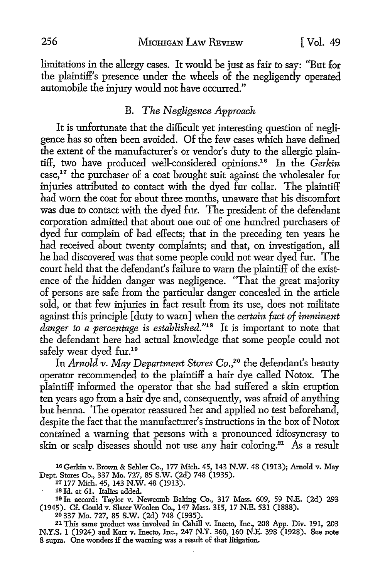limitations in the allergy cases. It would be just as fair to say: "But for the plaintiff's presence under the wheels of the negligently operated automobile the injury would not have occurred."

## B. *The Negligence Approach*

It is unfortunate that the difficult yet interesting question of negligence has so often been avoided. Of the few cases which have defined the extent of the manufacturer's or vendor's duty to the allergic plaintiff, two have produced well-considered opinions.16 In the *Gerkin*   $case<sup>17</sup>$  the purchaser of a coat brought suit against the wholesaler for injuries attributed to contact with the dyed fur collar. The plaintiff had worn the coat for about three months, unaware that his discomfort was due to contact with the dyed fur. The president of the defendant corporation admitted that about one out of one hundred purchasers of dyed fur complain of bad effects; that in the preceding ten years he had received about twenty complaints; and that, on investigation, all he had discovered was that some people could not wear dyed fur. The court held that the defendant's failure to warn the plaintiff of the existence of the hidden danger was negligence. "That the great majority of persons are safe from the particular danger concealed in the article sold, or that few injuries in fact result from its use, does not militate against this principle [duty to warn] when the *certain fact of imminent danger to a percentage* is *established."18* It is important to note that the defendant here had actual knowledge that some people could not safely wear dyed fur.<sup>19</sup>

In *Arnold v. May Department Stores Co.*<sup>20</sup> the defendant's beauty operator recommended to the plaintiff a hair dye called Notox. The plaintiff informed the operator that she had suffered a skin eruption ten years ago from a hair dye and, consequently, was afraid of anything but henna. The operator reassured her and applied no test beforehand, despite the fact that the manufacturer's instructions in the box of Notox contained a warning that persons with a pronounced idiosyncrasy to skin or scalp diseases should not use any hair coloring.<sup>21</sup> As a result

20 337 Mo. 727, 85 S.W. (2d) 748 (1935).

21 This same product was involved in Cahill v. Inecto, Inc., 208 App. Div. 191, 203 N.Y.S. 1 (1924) and Karr v. Inecto, Inc., 247 N.Y. 360, 160 N.E. 398 (1928). See note 8 supra. One wonders if the warning was a result of that litigation.

<sup>16</sup> Gerkin v. Brown & Sehler Co., 177 Mich. 45, 143 N.W. 48 (1913); Arnold v. May Dept. Stores Co., 337 Mo. 727, 85 S.W. (2d) 748 (1935).

<sup>11177</sup> Mich. 45, 143 N.W. 48 (1913).

<sup>1</sup>s Id. at 61. Italics added.

<sup>19</sup> In accord: Taylor v. Newcomb Baking Co., 317 Mass. 609, 59 N.E. (2d) 293 (1945). Cf. Gould v. Slater Woolen Co., 147 Mass. 315, 17 N.E. 531 (1888).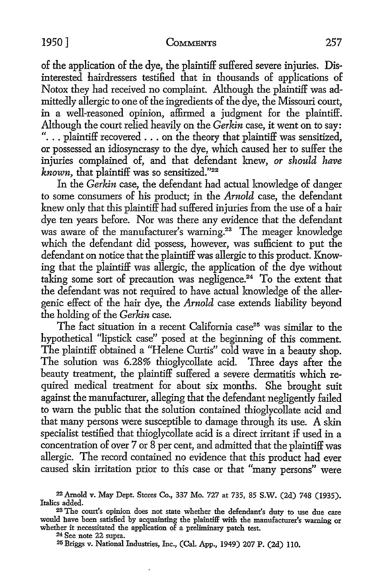#### 1950] COMMENTS 257

of the application of the dye, the plaintiff suffered severe injuries. Disinterested hairdressers testified that in thousands of applications of Notox they had received no complaint. Although the plaintiff was admittedly allergic to one of the ingredients of the dye, the Missouri court, in a well-reasoned opinion, affirmed a judgment for the plaintiff. Although the court relied heavily on the *Gerkin* case, it went on to say: "... plaintiff recovered ... on the theory that plaintiff was sensitized, or possessed an idiosyncrasy to the dye, which caused her to suffer the injuries complained of, and that defendant knew, *or should have known,* that plaintiff was so sensitized."<sup>22</sup>

In the *Gerkin* case, the defendant had actual knowledge of danger to some consumers of his product; in the *Arnold* case, the defendant knew only that this plaintiff had suffered injuries from the use of a hair dye ten years before. Nor was there any evidence that the defendant was aware of the manufacturer's warning.<sup>23</sup> The meager knowledge which the defendant did possess, however, was sufficient to put the defendant on notice that the plaintiff was allergic to this product. Knowing that the plaintiff was allergic, the application of the dye without taking some sort of precaution was negligence.<sup>24</sup> To the extent that the defendant was not required to have actual knowledge of the allergenic effect of the hair dye, the *Arnold* case extends liability beyond the holding of the *Gerkin* case.

The fact situation in a recent California case<sup>25</sup> was similar to the hypothetical "lipstick case" posed at the beginning of this comment. The plaintiff obtained a "Helene Curtis" cold wave in a beauty shop. The solution was 6.28% thioglycollate acid. Three days after the beauty treatment, the plaintiff suffered a severe dermatitis which required medical treatment for about six months. She brought suit against the manufacturer, alleging that the defendant negligently failed to warn the public that the solution contained thioglycollate acid and that many persons were susceptible to damage through its use. A skin specialist testified that thioglycollate acid is a direct irritant if used in a concentration of over 7 or 8 per cent, and admitted that the plaintiff was allergic. The record contained no evidence that this product had ever caused skin irritation prior to this case or that "many persons" were

<sup>22</sup>Arnold v. May Dept. Stores Co., 337 Mo. 727 at 735, 85 **S.W.** (2d) 748 (1935). Italics added.

<sup>23</sup>The court's opinion does not state whether the defendant's duty to use due care would bave been satisfied by acquainting the plaintiff with the manufacturer's warning or whether it necessitated the application of a preliminary patch test.  $^{24}$  See note 22 supra.

<sup>&</sup>lt;sup>25</sup> Briggs v. National Industries, Inc., (Cal. App., 1949) 207 P. (2d) 110.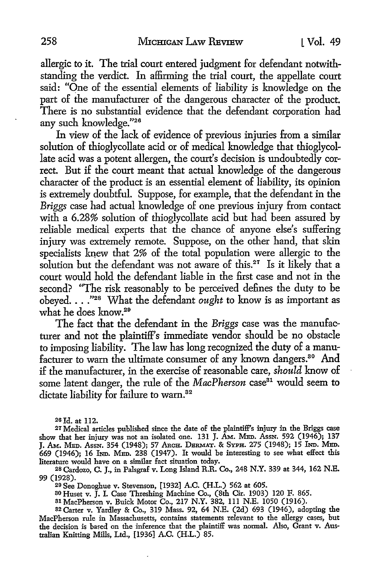allergic *to* it. The trial court entered judgment for defendant notwithstanding the verdict. In affirming the trial court, the appellate court said: "One of the essential elements of liability is knowledge on the part of the manufacturer of the dangerous character of the product There is no substantial evidence that the defendant corporation had any such knowledge."26

In view of the lack of evidence of previous injuries from a similar solution of thioglycollate acid or of medical knowledge that thioglycollate acid was a potent allergen, the court's decision is undoubtedly correct. But if the court meant that actual knowledge of the dangerous character of the product is an essential element of liability, its opinion is extremely doubtful. Suppose, for example, that the defendant in the *Briggs* case had actual lmowledge of one previous injury from contact with a 6.28% solution of thioglycollate acid but had been assured by reliable medical experts that the chance of anyone else's suffering injury was extremely remote. Suppose, on the other hand, that skin specialists knew that 2% of the total population were allergic to the solution but the defendant was not aware of this.<sup>27</sup> Is it likely that a court would hold the defendant liable in the first case and not in the second? "The risk reasonably to be perceived defines the duty to be obeyed. . . .<sup>"28</sup> What the defendant *ought* to know is as important as what he does know.29

The fact that the defendant in the *Briggs* case was the manufacturer and not the plaintiff's immediate vendor should be no obstacle *to* imposing liability. The law has long recognized the duty of a manufacturer to warn the ultimate consumer of any known dangers.<sup>30</sup> And if the manufacturer, in the exercise of reasonable care, *should* know of some latent danger, the rule of the *MacPherson* case<sup>31</sup> would seem to dictate liability for failure to warn.<sup>32</sup>

2s Id. at 112.

27 Medical articles published since the date of the plaintiff's injury in the Briggs case show that her injury was not an isolated one. 131 J. AM. MED. AssN. 592 (1946); 137 J. Am. Med. Assn. 354 (1948); 57 Arch. Dermat. & Syph. 275 (1948); 15 Ind. Med.  $669$  (1946); 16 IND. MED. 238 (1947). It would be interesting to see what effect this literature would have on a similar fact situation today.

2s Cardozo, C. J., in Palsgraf v. Long Island R.R. Co., 248 N.Y. 339 at 344, 162 N.E. 99 (1928).

29 See Donoghue v. Stevenson, [1932] A.C. (H.L.) 562 at 605.

so Huset v. J. I. Case Threshing Machine Co., (8th Cir. 1903) 120 F. 865. s1 MacPherson v. Buick Motor Co., 217 N.Y. 382, Ill N.E. 1050 (1916).

32 Carter v. Yardley & Co., 319 Mass. 92, 64 N.E. (2d) 693 (1946), adopting the MacPherson rule in Massachusetts, contains statements relevant to the allergy cases, but the decision is based on the inference that the plaintiff was normal. Also, Grant v. Australian Knitting Mills, Ltd., [1936] A.C. (H.L.) 85.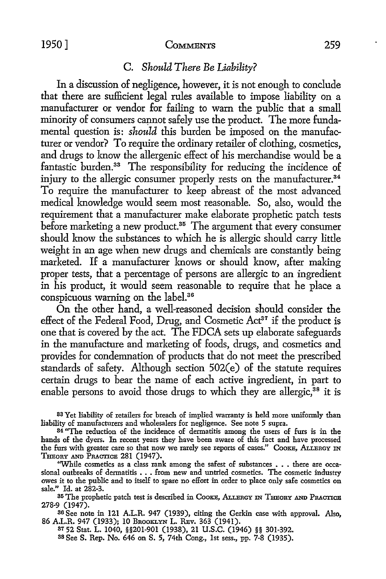## 1950] **CoMMENTS** 259

## C. *Should There Be Liability?*

In a discussion of negligence, however, it is not enough to conclude that there are sufficient legal rules available to impose liability on a manufacturer or vendor for failing to warn the public that a small minority of consumers cannot safely use the product. The more fundamental question is: *should* this burden be imposed on the manufacturer or vendor? To require the ordinary retailer of clothing, cosmetics, and drugs to know the allergenic effect of his merchandise would be a fantastic burden.<sup>33</sup> The responsibility for reducing the incidence of injury to the allergic consumer properly rests on the manufacturer.<sup>34</sup> To require the manufacturer to keep abreast of the most advanced medical knowledge would seem most reasonable. So, also, would the requirement that a manufacturer make elaborate prophetic patch tests before marketing a new product.<sup>35</sup> The argument that every consumer should know the substances to which he is allergic should carry little weight in an age when new drugs and chemicals are constantly being marketed. If a manufacturer knows or should know, after making proper tests, that a percentage of persons are allergic to an ingredient in his product, it would seem reasonable to require that he place a conspicuous warning on the label.36

On the other hand, a well-reasoned decision should consider the effect of the Federal Food, Drug, and Cosmetic  $Act^{37}$  if the product is one that is covered by the act. The FDCA sets up elaborate safeguards in the manufacture and marketing of foods, drugs, and cosmetics and provides for condemnation of products that do not meet the prescribed standards of safety. Although section 502(e) of the statute requires certain drugs to bear the name of each active ingredient, in part to enable persons to avoid those drugs to which they are allergic,<sup>38</sup> it is

83 Yet liability of retailers for breach of implied warranty is held more uniformly than liability of manufacturers and wholesalers for negligence. See note 5 supra.

35 The prophetic patch test is described in COOKE, ALLERGY IN THEORY AND PRACTICE 278-9 (1947).

<sup>36</sup>See note in 121 A.L.R. 947 (1939), citing the Gerkin case with approval. Also, 86 A.L.R. 947 (1933); 10 BROOKLYN L. REV. 363 (1941).

s1 52 Stat. L. 1040, §§201-901 (1938), 21 U.S.C. (1946) §§ 301-392. 88 See S. Rep. No. 646 on S. 5, 74th Cong., 1st sess., pp. 7-8 (1935).

<sup>34 &#</sup>x27;'The reduction of the incidence of dermatitis among the users of furs is in the hands of the dyers. In recent years they have been aware of this fact and have processed the furs with greater care so that now we rarely see reports of cases." COOKE, ALLERGY IN THEORY AND PRACTICE 281 (1947).

<sup>&</sup>quot;While cosmetics as a class rank among the safest of substances . . . there are occasional outbreaks of dermatitis • . • from new and untried cosmetics. The cosmetic industry owes it to the public and to itself to spare no effort in order to place only safe cosmetics on sale." Id. at 282-3.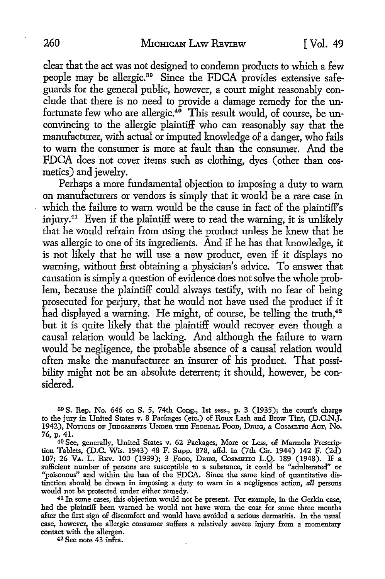clear that the act was not designed to condemn products to which a few people may be allergic. 39 Since the FDCA provides extensive safeguards for the general public, however, a court might reasonably conclude that there is no need to provide a damage remedy for the unfortunate few who are allergic.<sup>40</sup> This result would, of course, be unconvincing to the allergic plaintiff who can reasonably say that the manufacturer, with actual or imputed knowledge of a danger, who fails to warn the consumer is more at fault than the consumer. And the FDCA does not cover items such as clothing, dyes (other than cosmetics) and jewelry.

Perhaps a more fundamental objection to imposing a duty to warn on manufacturers or vendors is simply that it would be a rare case in which the failure to warn would be the cause in fact of the plaintiff's injury.<sup>41</sup> Even if the plaintiff were to read the warning, it is unlikely that he would refrain from using the product unless he knew that he was allergic to one of its ingredients. And if he has that knowledge, it is not likely that he will use a new product, even if it displays no warning, without first obtaining a physician's advice. To answer that causation is simply a question of evidence does not solve the whole problem, because the plaintiff could always testify, with no fear of being prosecuted for perjury, that he would not have used the product if it had displayed a warning. He might, of course, be telling the truth,<sup>42</sup> but it is quite likely that the plaintiff would recover even though a causal relation would be lacking. And although the failure to warn would be negligence, the probable absence of a causal relation would often make the manufacturer an insurer of his product. That possibility might not be an absolute deterrent; it should, however, be considered.

39 S. Rep. No. 646 on S. 5, 74th Cong., 1st sess., p. 3 (1935); the court's charge to the jury in United States v. 8 Packages (etc.) of Roux Lash and Brow Tint, (D.C.N.J. 1942), NonCEs OF JUDGMENTS UNDim THE FEDERAL Fooo, DRuG, & CosMEnc *Aar,* No. 76, p. 41.

40 See, generally, United States v. 62 Packages, More or Less, of Marmola Prescription Tablets, (D.C. Wis. 1943) 48 F. Supp. 878, affd. in (7th Cir. 1944) 142 F. (2d) 107; 26 VA. L. REV. 100 (1939); 3 Food, Drug, Cosmetto L.Q. 189 (1948). If a sufficient number of persons are susceptible to a substance, it could be "adulterated" or "poisonous" and within the ban of the FDCA. Since the same kind of quantitative distinction should be drawn in imposing a duty to warn in a negligence action, *all* persons would not be protected under either remedy.

41 In some cases, this objection would not be present. For example, in the Gerkin case, had the plaintiff been warned he would not have worn the coat for some three months after the first sign of discomfort and would have avoided a serious dermatitis. In the usual case, however, the allergic consumer suffers a relatively severe injury from a momentary contact with the allergen.

42 See note 43 infra.